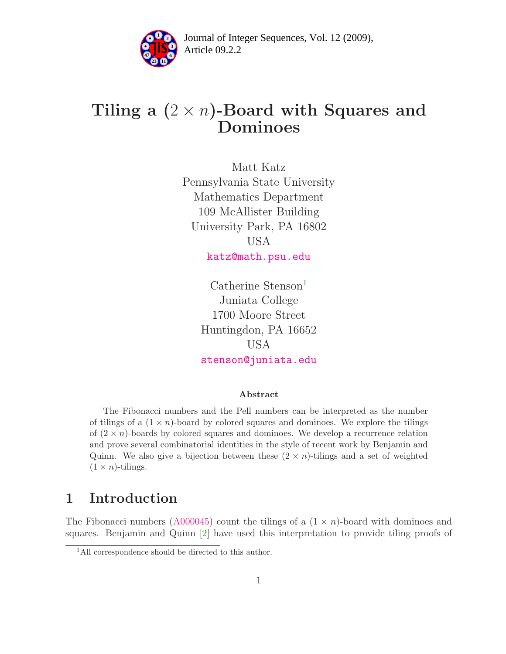

Article 09.2.2 **<sup>2</sup>** Journal of Integer Sequences, Vol. 12 (2009),

# Tiling a  $(2 \times n)$ -Board with Squares and Dominoes

Matt Katz Pennsylvania State University Mathematics Department 109 McAllister Building University Park, PA 16802 USA [katz@math.psu.edu](mailto:katz@math.psu.edu)

> $Catherine$  Stenson<sup>[1](#page-0-0)</sup> Juniata College 1700 Moore Street Huntingdon, PA 16652 USA [stenson@juniata.edu](mailto:stenson@juniata.edu)

#### Abstract

The Fibonacci numbers and the Pell numbers can be interpreted as the number of tilings of a  $(1 \times n)$ -board by colored squares and dominoes. We explore the tilings of  $(2 \times n)$ -boards by colored squares and dominoes. We develop a recurrence relation and prove several combinatorial identities in the style of recent work by Benjamin and Quinn. We also give a bijection between these  $(2 \times n)$ -tilings and a set of weighted  $(1 \times n)$ -tilings.

## 1 Introduction

<span id="page-0-0"></span>The Fibonacci numbers  $(A000045)$  count the tilings of a  $(1 \times n)$ -board with dominoes and squares. Benjamin and Quinn [\[2\]](#page-10-0) have used this interpretation to provide tiling proofs of

<sup>&</sup>lt;sup>1</sup>All correspondence should be directed to this author.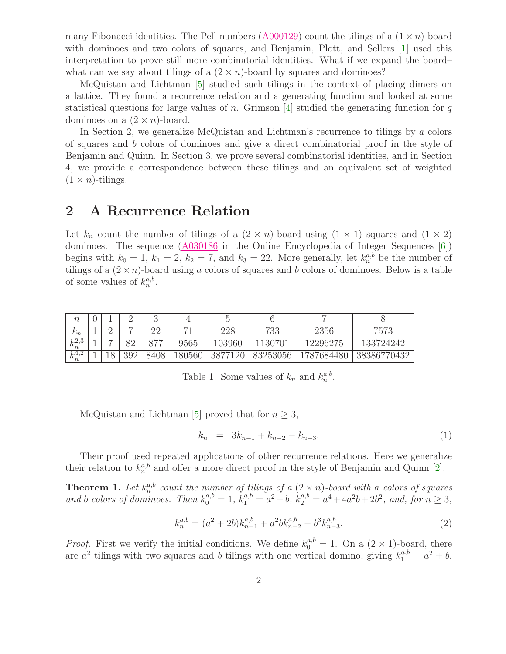many Fibonacci identities. The Pell numbers  $(A000129)$  count the tilings of a  $(1 \times n)$ -board with dominoes and two colors of squares, and Benjamin, Plott, and Sellers [\[1\]](#page-10-1) used this interpretation to prove still more combinatorial identities. What if we expand the board– what can we say about tilings of a  $(2 \times n)$ -board by squares and dominoes?

McQuistan and Lichtman [\[5\]](#page-10-2) studied such tilings in the context of placing dimers on a lattice. They found a recurrence relation and a generating function and looked at some statistical questions for large values of n. Grimson [\[4\]](#page-10-3) studied the generating function for q dominoes on a  $(2 \times n)$ -board.

In Section 2, we generalize McQuistan and Lichtman's recurrence to tilings by a colors of squares and b colors of dominoes and give a direct combinatorial proof in the style of Benjamin and Quinn. In Section 3, we prove several combinatorial identities, and in Section 4, we provide a correspondence between these tilings and an equivalent set of weighted  $(1 \times n)$ -tilings.

### 2 A Recurrence Relation

Let  $k_n$  count the number of tilings of a  $(2 \times n)$ -board using  $(1 \times 1)$  squares and  $(1 \times 2)$ dominoes. The sequence  $(A030186)$  in the Online Encyclopedia of Integer Sequences [\[6\]](#page-10-4)) begins with  $k_0 = 1$ ,  $k_1 = 2$ ,  $k_2 = 7$ , and  $k_3 = 22$ . More generally, let  $k_n^{a,b}$  be the number of tilings of a  $(2 \times n)$ -board using a colors of squares and b colors of dominoes. Below is a table of some values of  $k_n^{a,b}$ .

| $\it{n}$           |                          |     |      |        |            |          |            |             |
|--------------------|--------------------------|-----|------|--------|------------|----------|------------|-------------|
| ₽<br>$n_n$         |                          |     | ററ   |        | 228        | 733      | 2356       | 7573        |
| $L^{2,3}$<br>$n_n$ | $\overline{\phantom{a}}$ | ວດ  | 077  | 9565   | $103960\,$ | 1130701  | 12296275   | 133724242   |
| 1.4,2<br>$n_n$     |                          | 392 | 8408 | 180560 | 3877120    | 83253056 | 1787684480 | 38386770432 |

Table 1: Some values of  $k_n$  and  $k_n^{a,b}$ .

McQuistan and Lichtman [\[5\]](#page-10-2) proved that for  $n \geq 3$ ,

<span id="page-1-0"></span>
$$
k_n = 3k_{n-1} + k_{n-2} - k_{n-3}.
$$
\n(1)

<span id="page-1-1"></span>Their proof used repeated applications of other recurrence relations. Here we generalize their relation to  $k_n^{a,b}$  and offer a more direct proof in the style of Benjamin and Quinn [\[2\]](#page-10-0).

**Theorem 1.** Let  $k_n^{a,b}$  count the number of tilings of a  $(2 \times n)$ -board with a colors of squares and b colors of dominoes. Then  $k_0^{a,b} = 1$ ,  $k_1^{a,b} = a^2 + b$ ,  $k_2^{a,b} = a^4 + 4a^2b + 2b^2$ , and, for  $n \ge 3$ ,

$$
k_n^{a,b} = (a^2 + 2b)k_{n-1}^{a,b} + a^2bk_{n-2}^{a,b} - b^3k_{n-3}^{a,b}.
$$
\n
$$
(2)
$$

*Proof.* First we verify the initial conditions. We define  $k_0^{a,b} = 1$ . On a  $(2 \times 1)$ -board, there are  $a^2$  tilings with two squares and b tilings with one vertical domino, giving  $k_1^{a,b} = a^2 + b$ .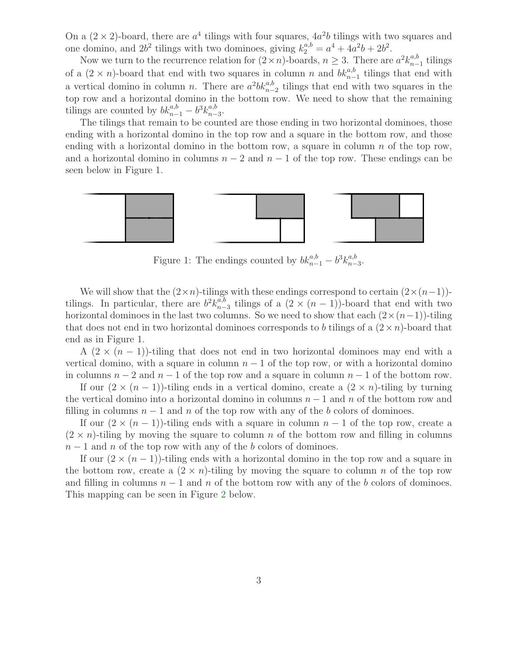On a  $(2 \times 2)$ -board, there are  $a<sup>4</sup>$  tilings with four squares,  $4a<sup>2</sup>b$  tilings with two squares and one domino, and  $2b^2$  tilings with two dominoes, giving  $k_2^{a,b} = a^4 + 4a^2b + 2b^2$ .

Now we turn to the recurrence relation for  $(2 \times n)$ -boards,  $n \geq 3$ . There are  $a^2 k_{n-1}^{a,b}$  tilings of a  $(2 \times n)$ -board that end with two squares in column n and  $bk_{n-1}^{a,b}$  tilings that end with a vertical domino in column *n*. There are  $a^2 b k_{n-2}^{a,b}$  tilings that end with two squares in the top row and a horizontal domino in the bottom row. We need to show that the remaining tilings are counted by  $bk_{n-1}^{a,b} - b^3 k_{n-3}^{a,b}$ .

The tilings that remain to be counted are those ending in two horizontal dominoes, those ending with a horizontal domino in the top row and a square in the bottom row, and those ending with a horizontal domino in the bottom row, a square in column  $n$  of the top row, and a horizontal domino in columns  $n-2$  and  $n-1$  of the top row. These endings can be seen below in Figure 1.



<span id="page-2-0"></span>Figure 1: The endings counted by  $bk_{n-1}^{a,b} - b^3 k_{n-3}^{a,b}$ .

We will show that the  $(2 \times n)$ -tilings with these endings correspond to certain  $(2 \times (n-1))$ tilings. In particular, there are  $b^2 k_{n-3}^{a,b}$  tilings of a  $(2 \times (n-1))$ -board that end with two horizontal dominoes in the last two columns. So we need to show that each  $(2 \times (n-1))$ -tiling that does not end in two horizontal dominoes corresponds to b tilings of a  $(2 \times n)$ -board that end as in Figure 1.

A  $(2 \times (n-1))$ -tiling that does not end in two horizontal dominoes may end with a vertical domino, with a square in column  $n - 1$  of the top row, or with a horizontal domino in columns  $n-2$  and  $n-1$  of the top row and a square in column  $n-1$  of the bottom row.

If our  $(2 \times (n-1))$ -tiling ends in a vertical domino, create a  $(2 \times n)$ -tiling by turning the vertical domino into a horizontal domino in columns  $n-1$  and n of the bottom row and filling in columns  $n-1$  and n of the top row with any of the b colors of dominoes.

If our  $(2 \times (n-1))$ -tiling ends with a square in column  $n-1$  of the top row, create a  $(2 \times n)$ -tiling by moving the square to column n of the bottom row and filling in columns  $n-1$  and n of the top row with any of the b colors of dominoes.

If our  $(2 \times (n-1))$ -tiling ends with a horizontal domino in the top row and a square in the bottom row, create a  $(2 \times n)$ -tiling by moving the square to column n of the top row and filling in columns  $n-1$  and n of the bottom row with any of the b colors of dominoes. This mapping can be seen in Figure [2](#page-2-0) below.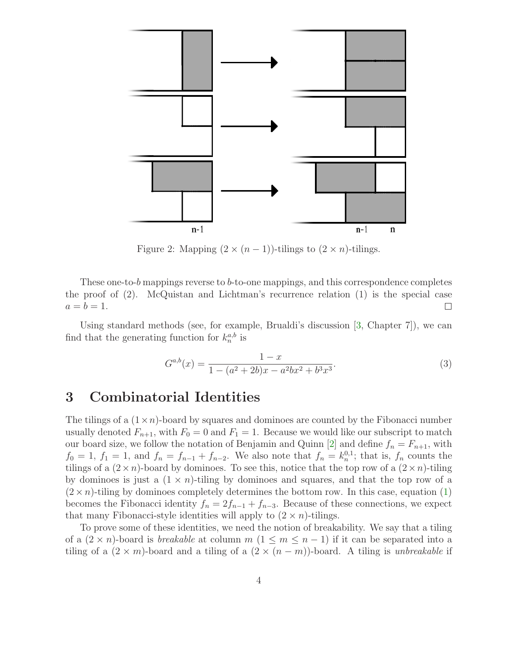

Figure 2: Mapping  $(2 \times (n-1))$ -tilings to  $(2 \times n)$ -tilings.

These one-to-b mappings reverse to b-to-one mappings, and this correspondence completes the proof of (2). McQuistan and Lichtman's recurrence relation (1) is the special case  $a = b = 1.$  $\Box$ 

Using standard methods (see, for example, Brualdi's discussion [\[3,](#page-10-5) Chapter 7]), we can find that the generating function for  $k_n^{a,b}$  is

$$
G^{a,b}(x) = \frac{1-x}{1 - (a^2 + 2b)x - a^2bx^2 + b^3x^3}.
$$
\n(3)

### <span id="page-3-0"></span>3 Combinatorial Identities

The tilings of a  $(1 \times n)$ -board by squares and dominoes are counted by the Fibonacci number usually denoted  $F_{n+1}$ , with  $F_0 = 0$  and  $F_1 = 1$ . Because we would like our subscript to match our board size, we follow the notation of Benjamin and Quinn [\[2\]](#page-10-0) and define  $f_n = F_{n+1}$ , with  $f_0 = 1$ ,  $f_1 = 1$ , and  $f_n = f_{n-1} + f_{n-2}$ . We also note that  $f_n = k_n^{0,1}$ ; that is,  $f_n$  counts the tilings of a  $(2 \times n)$ -board by dominoes. To see this, notice that the top row of a  $(2 \times n)$ -tiling by dominoes is just a  $(1 \times n)$ -tiling by dominoes and squares, and that the top row of a  $(2 \times n)$ -tiling by dominoes completely determines the bottom row. In this case, equation [\(1\)](#page-1-0) becomes the Fibonacci identity  $f_n = 2f_{n-1} + f_{n-3}$ . Because of these connections, we expect that many Fibonacci-style identities will apply to  $(2 \times n)$ -tilings.

To prove some of these identities, we need the notion of breakability. We say that a tiling of a  $(2 \times n)$ -board is *breakable* at column m  $(1 \leq m \leq n-1)$  if it can be separated into a tiling of a  $(2 \times m)$ -board and a tiling of a  $(2 \times (n - m))$ -board. A tiling is unbreakable if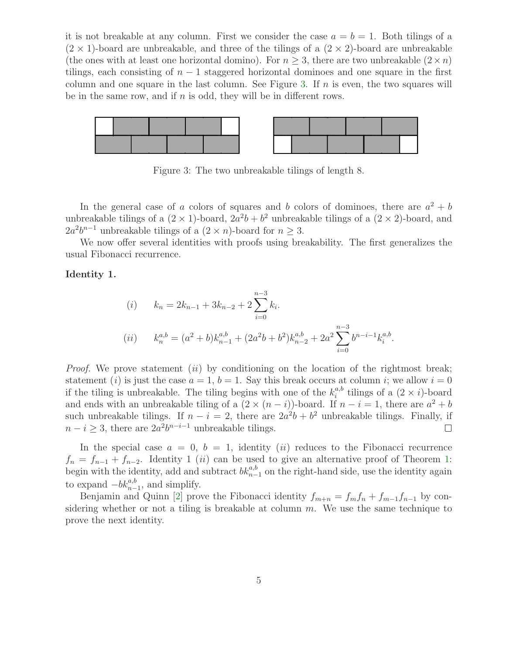it is not breakable at any column. First we consider the case  $a = b = 1$ . Both tilings of a  $(2 \times 1)$ -board are unbreakable, and three of the tilings of a  $(2 \times 2)$ -board are unbreakable (the ones with at least one horizontal domino). For  $n \geq 3$ , there are two unbreakable  $(2 \times n)$ tilings, each consisting of  $n-1$  staggered horizontal dominoes and one square in the first column and one square in the last column. See Figure [3.](#page-3-0) If  $n$  is even, the two squares will be in the same row, and if  $n$  is odd, they will be in different rows.



Figure 3: The two unbreakable tilings of length 8.

In the general case of a colors of squares and b colors of dominoes, there are  $a^2 + b$ unbreakable tilings of a  $(2 \times 1)$ -board,  $2a^2b + b^2$  unbreakable tilings of a  $(2 \times 2)$ -board, and  $2a^2b^{n-1}$  unbreakable tilings of a  $(2 \times n)$ -board for  $n \geq 3$ .

We now offer several identities with proofs using breakability. The first generalizes the usual Fibonacci recurrence.

#### Identity 1.

(i) 
$$
k_n = 2k_{n-1} + 3k_{n-2} + 2\sum_{i=0}^{n-3} k_i
$$
.  
\n(ii)  $k_n^{a,b} = (a^2 + b)k_{n-1}^{a,b} + (2a^2b + b^2)k_{n-2}^{a,b} + 2a^2\sum_{i=0}^{n-3} b^{n-i-1}k_i^{a,b}$ .

*Proof.* We prove statement *(ii)* by conditioning on the location of the rightmost break; statement (i) is just the case  $a = 1$ ,  $b = 1$ . Say this break occurs at column i; we allow  $i = 0$ if the tiling is unbreakable. The tiling begins with one of the  $k_i^{a,b}$  $i^{a,b}$  tilings of a  $(2 \times i)$ -board and ends with an unbreakable tiling of a  $(2 \times (n - i))$ -board. If  $n - i = 1$ , there are  $a^2 + b$ such unbreakable tilings. If  $n - i = 2$ , there are  $2a^2b + b^2$  unbreakable tilings. Finally, if  $n - i \geq 3$ , there are  $2a^2b^{n-i-1}$  unbreakable tilings.  $\Box$ 

In the special case  $a = 0, b = 1$ , identity (*ii*) reduces to the Fibonacci recurrence  $f_n = f_{n-1} + f_{n-2}$ . Identity 1 (*ii*) can be used to give an alternative proof of Theorem [1:](#page-1-1) begin with the identity, add and subtract  $bk_{n-1}^{a,b}$  on the right-hand side, use the identity again to expand  $-bk_{n-1}^{a,b}$ , and simplify.

Benjamin and Quinn [\[2\]](#page-10-0) prove the Fibonacci identity  $f_{m+n} = f_m f_n + f_{m-1} f_{n-1}$  by considering whether or not a tiling is breakable at column  $m$ . We use the same technique to prove the next identity.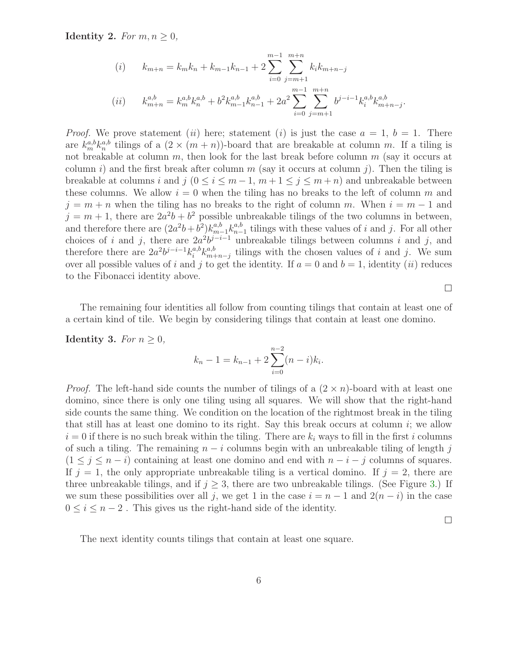Identity 2. For  $m, n \geq 0$ ,

(i) 
$$
k_{m+n} = k_m k_n + k_{m-1} k_{n-1} + 2 \sum_{i=0}^{m-1} \sum_{j=m+1}^{m+n} k_i k_{m+n-j}
$$
  
\n(ii) 
$$
k_{m+n}^{a,b} = k_m^{a,b} k_n^{a,b} + b^2 k_{m-1}^{a,b} k_{n-1}^{a,b} + 2a^2 \sum_{i=0}^{m-1} \sum_{j=m+1}^{m+n} b^{j-i-1} k_i^{a,b} k_{m+n-j}^{a,b}.
$$

*Proof.* We prove statement (ii) here; statement (i) is just the case  $a = 1, b = 1$ . There are  $k_m^{a,b} k_n^{a,b}$  tilings of a  $(2 \times (m+n))$ -board that are breakable at column m. If a tiling is not breakable at column  $m$ , then look for the last break before column  $m$  (say it occurs at column i) and the first break after column m (say it occurs at column j). Then the tiling is breakable at columns i and j  $(0 \le i \le m-1, m+1 \le j \le m+n)$  and unbreakable between these columns. We allow  $i = 0$  when the tiling has no breaks to the left of column m and  $j = m + n$  when the tiling has no breaks to the right of column m. When  $i = m - 1$  and  $j = m + 1$ , there are  $2a^2b + b^2$  possible unbreakable tilings of the two columns in between, and therefore there are  $(2a^2b+b^2)k_{m-1}^{a,b}k_{n-1}^{a,b}$  tilings with these values of i and j. For all other choices of i and j, there are  $2a^2b^{j-i-1}$  unbreakable tilings between columns i and j, and therefore there are  $2a^2b^{j-i-1}k_i^{a,b}$  ${}_{i}^{a,b}k_{m+n-j}^{a,b}$  tilings with the chosen values of i and j. We sum over all possible values of i and j to get the identity. If  $a = 0$  and  $b = 1$ , identity (ii) reduces to the Fibonacci identity above.

The remaining four identities all follow from counting tilings that contain at least one of a certain kind of tile. We begin by considering tilings that contain at least one domino.

Identity 3. For  $n \geq 0$ ,

$$
k_n - 1 = k_{n-1} + 2\sum_{i=0}^{n-2} (n-i)k_i.
$$

*Proof.* The left-hand side counts the number of tilings of a  $(2 \times n)$ -board with at least one domino, since there is only one tiling using all squares. We will show that the right-hand side counts the same thing. We condition on the location of the rightmost break in the tiling that still has at least one domino to its right. Say this break occurs at column i; we allow  $i = 0$  if there is no such break within the tiling. There are  $k_i$  ways to fill in the first i columns of such a tiling. The remaining  $n - i$  columns begin with an unbreakable tiling of length j  $(1 \leq j \leq n - i)$  containing at least one domino and end with  $n - i - j$  columns of squares. If  $j = 1$ , the only appropriate unbreakable tiling is a vertical domino. If  $j = 2$ , there are three unbreakable tilings, and if  $j \geq 3$ , there are two unbreakable tilings. (See Figure [3.](#page-3-0)) If we sum these possibilities over all j, we get 1 in the case  $i = n - 1$  and  $2(n - i)$  in the case  $0 \leq i \leq n-2$ . This gives us the right-hand side of the identity.

 $\Box$ 

 $\Box$ 

The next identity counts tilings that contain at least one square.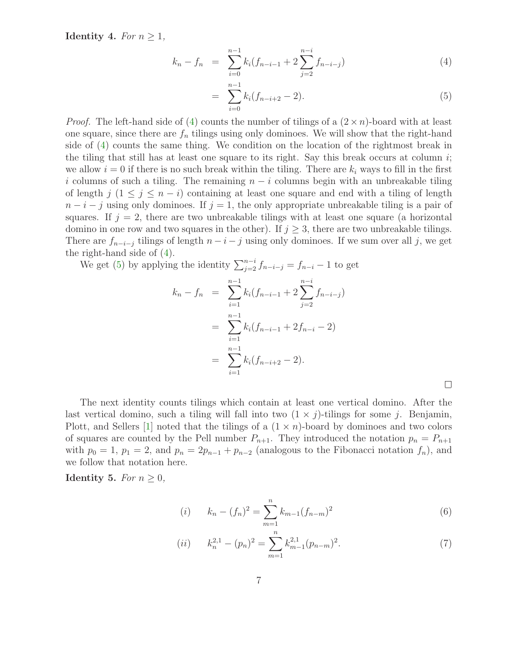<span id="page-6-0"></span>Identity 4. For  $n \geq 1$ ,

$$
k_n - f_n = \sum_{i=0}^{n-1} k_i (f_{n-i-1} + 2 \sum_{j=2}^{n-i} f_{n-i-j})
$$
 (4)

$$
= \sum_{i=0}^{n-1} k_i (f_{n-i+2} - 2). \tag{5}
$$

*Proof.* The left-hand side of [\(4\)](#page-6-0) counts the number of tilings of a  $(2 \times n)$ -board with at least one square, since there are  $f_n$  tilings using only dominoes. We will show that the right-hand side of [\(4\)](#page-6-0) counts the same thing. We condition on the location of the rightmost break in the tiling that still has at least one square to its right. Say this break occurs at column  $i$ ; we allow  $i = 0$  if there is no such break within the tiling. There are  $k_i$  ways to fill in the first i columns of such a tiling. The remaining  $n - i$  columns begin with an unbreakable tiling of length j  $(1 \leq j \leq n - i)$  containing at least one square and end with a tiling of length  $n-i-j$  using only dominoes. If  $j=1$ , the only appropriate unbreakable tiling is a pair of squares. If  $j = 2$ , there are two unbreakable tilings with at least one square (a horizontal domino in one row and two squares in the other). If  $j \geq 3$ , there are two unbreakable tilings. There are  $f_{n-i-j}$  tilings of length  $n-i-j$  using only dominoes. If we sum over all j, we get the right-hand side of [\(4\)](#page-6-0).

We get [\(5\)](#page-6-0) by applying the identity  $\sum_{j=2}^{n-i} f_{n-i-j} = f_{n-i} - 1$  to get

$$
k_n - f_n = \sum_{i=1}^{n-1} k_i (f_{n-i-1} + 2 \sum_{j=2}^{n-i} f_{n-i-j})
$$
  
= 
$$
\sum_{i=1}^{n-1} k_i (f_{n-i-1} + 2 f_{n-i} - 2)
$$
  
= 
$$
\sum_{i=1}^{n-1} k_i (f_{n-i+2} - 2).
$$

The next identity counts tilings which contain at least one vertical domino. After the last vertical domino, such a tiling will fall into two  $(1 \times j)$ -tilings for some j. Benjamin, Plott, and Sellers  $[1]$  noted that the tilings of a  $(1 \times n)$ -board by dominoes and two colors of squares are counted by the Pell number  $P_{n+1}$ . They introduced the notation  $p_n = P_{n+1}$ with  $p_0 = 1$ ,  $p_1 = 2$ , and  $p_n = 2p_{n-1} + p_{n-2}$  (analogous to the Fibonacci notation  $f_n$ ), and we follow that notation here.

**Identity 5.** For  $n \geq 0$ ,

(i) 
$$
k_n - (f_n)^2 = \sum_{m=1}^n k_{m-1} (f_{n-m})^2
$$
 (6)

(*ii*) 
$$
k_n^{2,1} - (p_n)^2 = \sum_{m=1}^n k_{m-1}^{2,1} (p_{n-m})^2.
$$
 (7)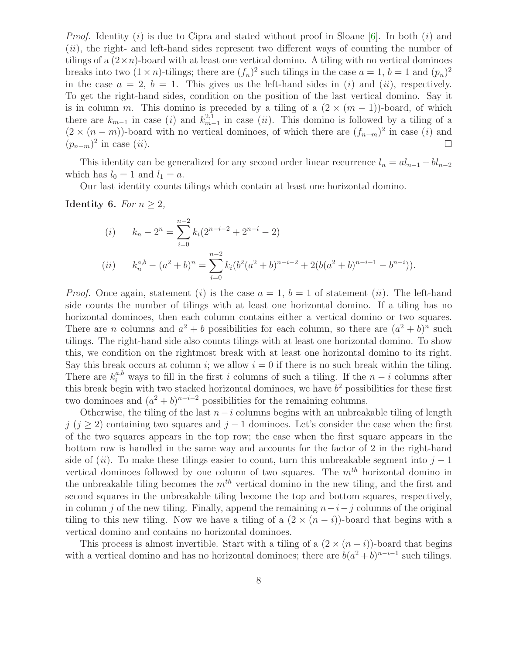*Proof.* Identity (i) is due to Cipra and stated without proof in Sloane [\[6\]](#page-10-4). In both (i) and  $(ii)$ , the right- and left-hand sides represent two different ways of counting the number of tilings of a  $(2 \times n)$ -board with at least one vertical domino. A tiling with no vertical dominoes breaks into two  $(1 \times n)$ -tilings; there are  $(f_n)^2$  such tilings in the case  $a = 1, b = 1$  and  $(p_n)^2$ in the case  $a = 2$ ,  $b = 1$ . This gives us the left-hand sides in (i) and (ii), respectively. To get the right-hand sides, condition on the position of the last vertical domino. Say it is in column m. This domino is preceded by a tiling of a  $(2 \times (m-1))$ -board, of which there are  $k_{m-1}$  in case (i) and  $k_{m-1}^{2,1}$  in case (ii). This domino is followed by a tiling of a  $(2 \times (n-m))$ -board with no vertical dominoes, of which there are  $(f_{n-m})^2$  in case (i) and  $(p_{n-m})^2$  in case  $(ii)$ .  $\Box$ 

This identity can be generalized for any second order linear recurrence  $l_n = al_{n-1} + bl_{n-2}$ which has  $l_0 = 1$  and  $l_1 = a$ .

Our last identity counts tilings which contain at least one horizontal domino.

Identity 6. For  $n \geq 2$ ,

(i) 
$$
k_n - 2^n = \sum_{i=0}^{n-2} k_i (2^{n-i-2} + 2^{n-i} - 2)
$$
  
(ii) 
$$
k_n^{a,b} - (a^2 + b)^n = \sum_{i=0}^{n-2} k_i (b^2 (a^2 + b)^{n-i-2} + 2(b(a^2 + b)^{n-i-1} - b^{n-i})).
$$

*Proof.* Once again, statement (i) is the case  $a = 1$ ,  $b = 1$  of statement (ii). The left-hand side counts the number of tilings with at least one horizontal domino. If a tiling has no horizontal dominoes, then each column contains either a vertical domino or two squares. There are *n* columns and  $a^2 + b$  possibilities for each column, so there are  $(a^2 + b)^n$  such tilings. The right-hand side also counts tilings with at least one horizontal domino. To show this, we condition on the rightmost break with at least one horizontal domino to its right. Say this break occurs at column i; we allow  $i = 0$  if there is no such break within the tiling. There are  $k_i^{a,b}$  ways to fill in the first i columns of such a tiling. If the  $n-i$  columns after this break begin with two stacked horizontal dominoes, we have  $b<sup>2</sup>$  possibilities for these first two dominoes and  $(a^2 + b)^{n-i-2}$  possibilities for the remaining columns.

Otherwise, the tiling of the last  $n-i$  columns begins with an unbreakable tiling of length  $j$  ( $j > 2$ ) containing two squares and  $j - 1$  dominoes. Let's consider the case when the first of the two squares appears in the top row; the case when the first square appears in the bottom row is handled in the same way and accounts for the factor of 2 in the right-hand side of  $(ii)$ . To make these tilings easier to count, turn this unbreakable segment into  $j-1$ vertical dominoes followed by one column of two squares. The  $m<sup>th</sup>$  horizontal domino in the unbreakable tiling becomes the  $m<sup>th</sup>$  vertical domino in the new tiling, and the first and second squares in the unbreakable tiling become the top and bottom squares, respectively, in column j of the new tiling. Finally, append the remaining  $n-i-j$  columns of the original tiling to this new tiling. Now we have a tiling of a  $(2 \times (n - i))$ -board that begins with a vertical domino and contains no horizontal dominoes.

This process is almost invertible. Start with a tiling of a  $(2 \times (n - i))$ -board that begins with a vertical domino and has no horizontal dominoes; there are  $b(a^2 + b)^{n-i-1}$  such tilings.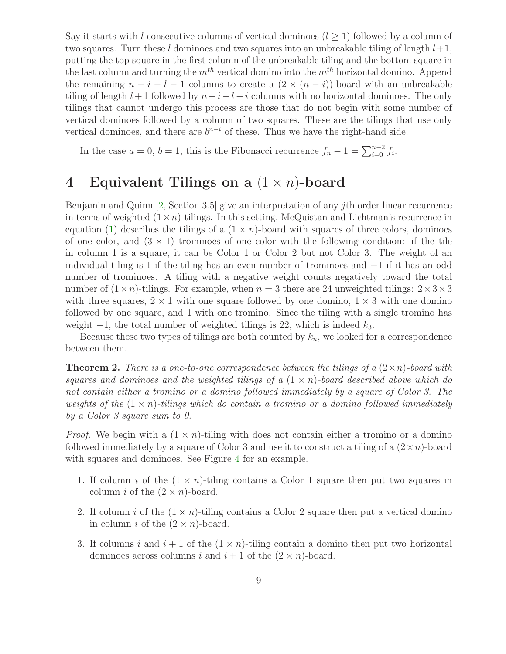Say it starts with l consecutive columns of vertical dominoes  $(l \ge 1)$  followed by a column of two squares. Turn these l dominoes and two squares into an unbreakable tiling of length  $l+1$ , putting the top square in the first column of the unbreakable tiling and the bottom square in the last column and turning the  $m^{th}$  vertical domino into the  $m^{th}$  horizontal domino. Append the remaining  $n-i-l-1$  columns to create a  $(2 \times (n-i))$ -board with an unbreakable tiling of length  $l + 1$  followed by  $n - i - l - i$  columns with no horizontal dominoes. The only tilings that cannot undergo this process are those that do not begin with some number of vertical dominoes followed by a column of two squares. These are the tilings that use only vertical dominoes, and there are  $b^{n-i}$  of these. Thus we have the right-hand side.  $\Box$ 

In the case  $a = 0, b = 1$ , this is the Fibonacci recurrence  $f_n - 1 = \sum_{i=0}^{n-2} f_i$ .

## 4 Equivalent Tilings on a  $(1 \times n)$ -board

Benjamin and Quinn  $[2, \text{Section } 3.5]$  give an interpretation of any *i*th order linear recurrence in terms of weighted  $(1 \times n)$ -tilings. In this setting, McQuistan and Lichtman's recurrence in equation [\(1\)](#page-1-0) describes the tilings of a  $(1 \times n)$ -board with squares of three colors, dominoes of one color, and  $(3 \times 1)$  trominoes of one color with the following condition: if the tile in column 1 is a square, it can be Color 1 or Color 2 but not Color 3. The weight of an individual tiling is 1 if the tiling has an even number of trominoes and −1 if it has an odd number of trominoes. A tiling with a negative weight counts negatively toward the total number of  $(1 \times n)$ -tilings. For example, when  $n = 3$  there are 24 unweighted tilings:  $2 \times 3 \times 3$ with three squares,  $2 \times 1$  with one square followed by one domino,  $1 \times 3$  with one domino followed by one square, and 1 with one tromino. Since the tiling with a single tromino has weight  $-1$ , the total number of weighted tilings is 22, which is indeed  $k_3$ .

Because these two types of tilings are both counted by  $k_n$ , we looked for a correspondence between them.

**Theorem 2.** There is a one-to-one correspondence between the tilings of a  $(2 \times n)$ -board with squares and dominoes and the weighted tilings of a  $(1 \times n)$ -board described above which do not contain either a tromino or a domino followed immediately by a square of Color 3. The weights of the  $(1 \times n)$ -tilings which do contain a tromino or a domino followed immediately by a Color 3 square sum to 0.

*Proof.* We begin with a  $(1 \times n)$ -tiling with does not contain either a tromino or a domino followed immediately by a square of Color 3 and use it to construct a tiling of a  $(2 \times n)$ -board with squares and dominoes. See Figure [4](#page-9-0) for an example.

- 1. If column i of the  $(1 \times n)$ -tiling contains a Color 1 square then put two squares in column *i* of the  $(2 \times n)$ -board.
- 2. If column i of the  $(1 \times n)$ -tiling contains a Color 2 square then put a vertical domino in column *i* of the  $(2 \times n)$ -board.
- 3. If columns i and  $i + 1$  of the  $(1 \times n)$ -tiling contain a domino then put two horizontal dominoes across columns i and  $i + 1$  of the  $(2 \times n)$ -board.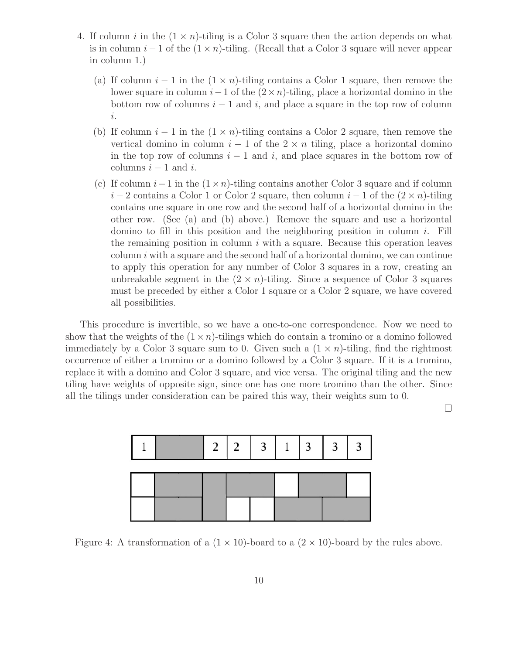- <span id="page-9-0"></span>4. If column i in the  $(1 \times n)$ -tiling is a Color 3 square then the action depends on what is in column  $i - 1$  of the  $(1 \times n)$ -tiling. (Recall that a Color 3 square will never appear in column 1.)
	- (a) If column  $i-1$  in the  $(1 \times n)$ -tiling contains a Color 1 square, then remove the lower square in column  $i-1$  of the  $(2 \times n)$ -tiling, place a horizontal domino in the bottom row of columns  $i - 1$  and i, and place a square in the top row of column i.
	- (b) If column  $i-1$  in the  $(1 \times n)$ -tiling contains a Color 2 square, then remove the vertical domino in column  $i - 1$  of the  $2 \times n$  tiling, place a horizontal domino in the top row of columns  $i - 1$  and  $i$ , and place squares in the bottom row of columns  $i - 1$  and i.
	- (c) If column  $i-1$  in the  $(1 \times n)$ -tiling contains another Color 3 square and if column  $i-2$  contains a Color 1 or Color 2 square, then column  $i-1$  of the  $(2 \times n)$ -tiling contains one square in one row and the second half of a horizontal domino in the other row. (See (a) and (b) above.) Remove the square and use a horizontal domino to fill in this position and the neighboring position in column  $i$ . Fill the remaining position in column  $i$  with a square. Because this operation leaves column  $i$  with a square and the second half of a horizontal domino, we can continue to apply this operation for any number of Color 3 squares in a row, creating an unbreakable segment in the  $(2 \times n)$ -tiling. Since a sequence of Color 3 squares must be preceded by either a Color 1 square or a Color 2 square, we have covered all possibilities.

This procedure is invertible, so we have a one-to-one correspondence. Now we need to show that the weights of the  $(1 \times n)$ -tilings which do contain a tromino or a domino followed immediately by a Color 3 square sum to 0. Given such a  $(1 \times n)$ -tiling, find the rightmost occurrence of either a tromino or a domino followed by a Color 3 square. If it is a tromino, replace it with a domino and Color 3 square, and vice versa. The original tiling and the new tiling have weights of opposite sign, since one has one more tromino than the other. Since all the tilings under consideration can be paired this way, their weights sum to 0.



Figure 4: A transformation of a  $(1 \times 10)$ -board to a  $(2 \times 10)$ -board by the rules above.

 $\Box$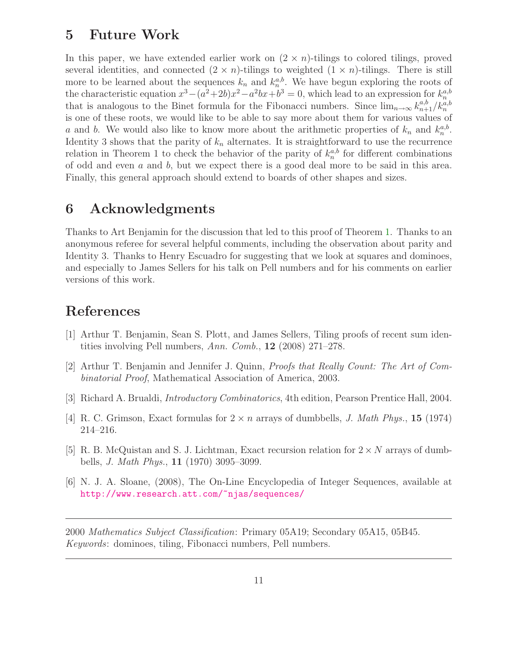### 5 Future Work

In this paper, we have extended earlier work on  $(2 \times n)$ -tilings to colored tilings, proved several identities, and connected  $(2 \times n)$ -tilings to weighted  $(1 \times n)$ -tilings. There is still more to be learned about the sequences  $k_n$  and  $k_n^{a,b}$ . We have begun exploring the roots of the characteristic equation  $x^3 - (a^2 + 2b)x^2 - a^2bx + b^3 = 0$ , which lead to an expression for  $k_n^{a,b}$ that is analogous to the Binet formula for the Fibonacci numbers. Since  $\lim_{n\to\infty} k_{n+1}^{a,b}/k_n^{a,b}$ is one of these roots, we would like to be able to say more about them for various values of a and b. We would also like to know more about the arithmetic properties of  $k_n$  and  $k_n^{a,b}$ . Identity 3 shows that the parity of  $k_n$  alternates. It is straightforward to use the recurrence relation in Theorem 1 to check the behavior of the parity of  $k_n^{a,b}$  for different combinations of odd and even a and b, but we expect there is a good deal more to be said in this area. Finally, this general approach should extend to boards of other shapes and sizes.

### 6 Acknowledgments

Thanks to Art Benjamin for the discussion that led to this proof of Theorem [1.](#page-1-1) Thanks to an anonymous referee for several helpful comments, including the observation about parity and Identity 3. Thanks to Henry Escuadro for suggesting that we look at squares and dominoes, and especially to James Sellers for his talk on Pell numbers and for his comments on earlier versions of this work.

## <span id="page-10-1"></span>References

- <span id="page-10-0"></span>[1] Arthur T. Benjamin, Sean S. Plott, and James Sellers, Tiling proofs of recent sum identities involving Pell numbers, Ann. Comb., 12 (2008) 271–278.
- <span id="page-10-5"></span>[2] Arthur T. Benjamin and Jennifer J. Quinn, Proofs that Really Count: The Art of Combinatorial Proof, Mathematical Association of America, 2003.
- <span id="page-10-3"></span>[3] Richard A. Brualdi, Introductory Combinatorics, 4th edition, Pearson Prentice Hall, 2004.
- <span id="page-10-2"></span>[4] R. C. Grimson, Exact formulas for  $2 \times n$  arrays of dumbbells, *J. Math Phys.*, **15** (1974) 214–216.
- [5] R. B. McQuistan and S. J. Lichtman, Exact recursion relation for  $2 \times N$  arrays of dumbbells, *J. Math Phys.*, **11** (1970) 3095–3099.
- <span id="page-10-4"></span>[6] N. J. A. Sloane, (2008), The On-Line Encyclopedia of Integer Sequences, available at <http://www.research.att.com/~njas/sequences/>

2000 Mathematics Subject Classification: Primary 05A19; Secondary 05A15, 05B45. Keywords: dominoes, tiling, Fibonacci numbers, Pell numbers.